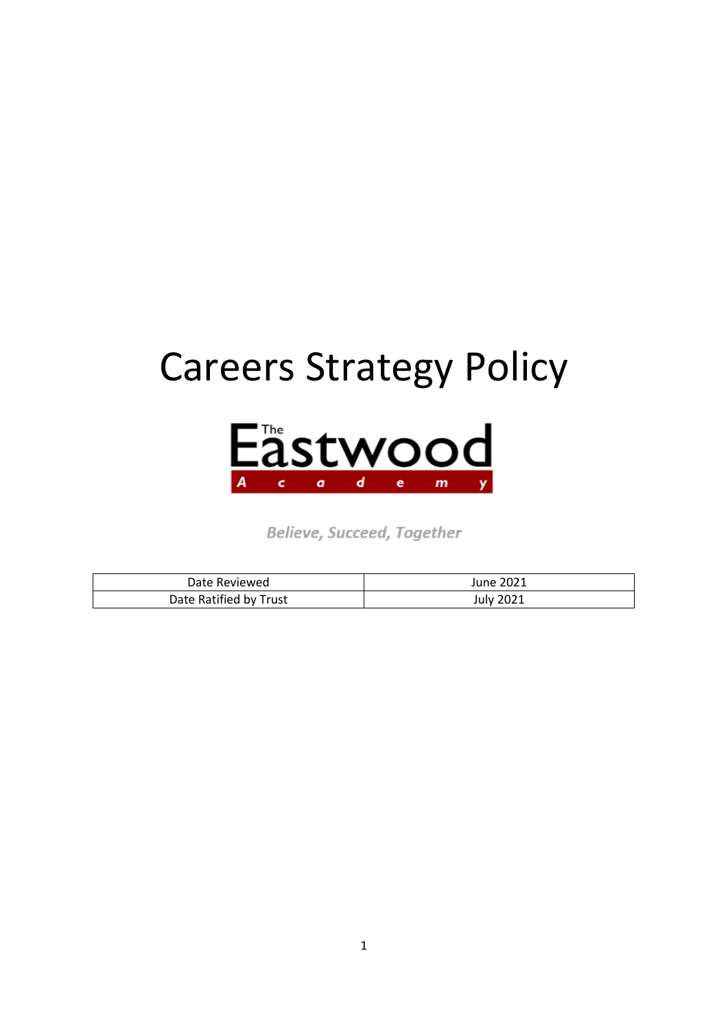# Careers Strategy Policy



Believe, Succeed, Together

| Date Reviewed          | June 2021 |
|------------------------|-----------|
| Date Ratified by Trust | July 2021 |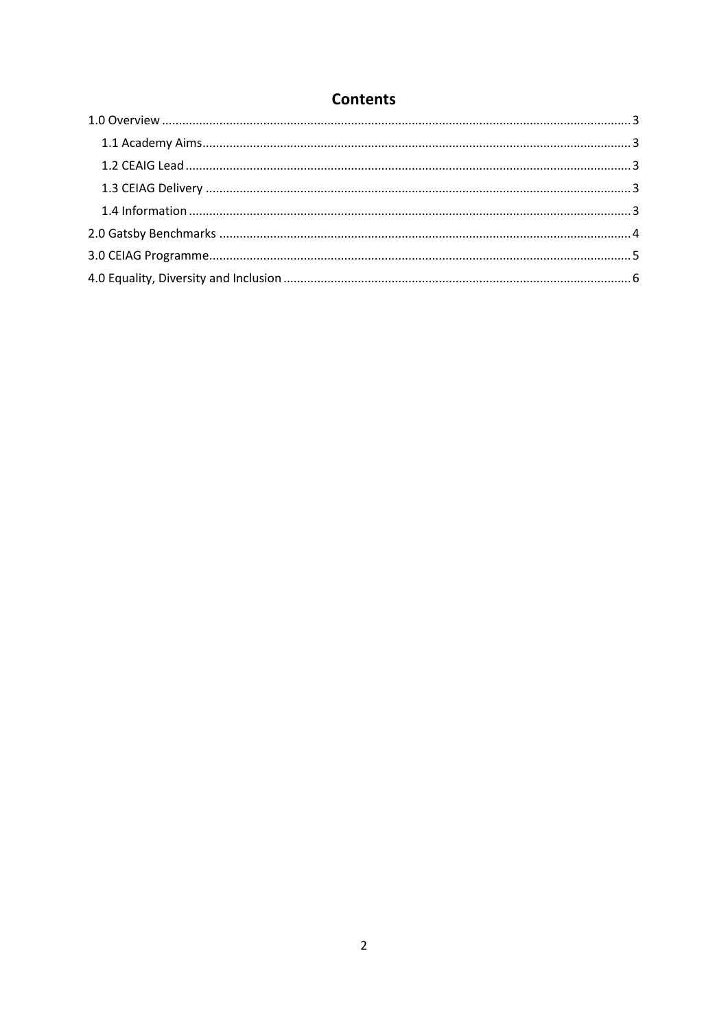# **Contents**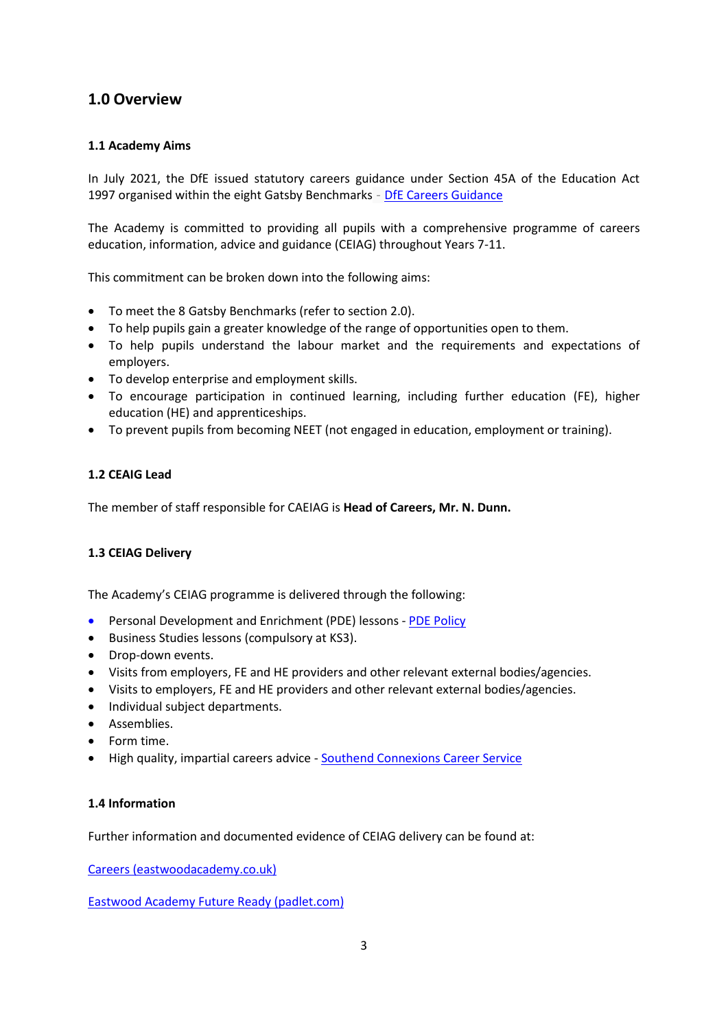## <span id="page-2-0"></span>**1.0 Overview**

#### <span id="page-2-1"></span>**1.1 Academy Aims**

In July 2021, the DfE issued statutory careers guidance under Section 45A of the Education Act 1997 organised within the eight Gatsby Benchmarks - [DfE Careers Guidance](https://assets.publishing.service.gov.uk/government/uploads/system/uploads/attachment_data/file/1002972/Careers_statutory_guidance.pdf)

The Academy is committed to providing all pupils with a comprehensive programme of careers education, information, advice and guidance (CEIAG) throughout Years 7-11.

This commitment can be broken down into the following aims:

- To meet the 8 Gatsby Benchmarks (refer to section 2.0).
- To help pupils gain a greater knowledge of the range of opportunities open to them.
- To help pupils understand the labour market and the requirements and expectations of employers.
- To develop enterprise and employment skills.
- To encourage participation in continued learning, including further education (FE), higher education (HE) and apprenticeships.
- To prevent pupils from becoming NEET (not engaged in education, employment or training).

#### <span id="page-2-2"></span>**1.2 CEAIG Lead**

The member of staff responsible for CAEIAG is **Head of Careers, Mr. N. Dunn.**

#### <span id="page-2-3"></span>**1.3 CEIAG Delivery**

The Academy's CEIAG programme is delivered through the following:

- Personal Development and Enrichment (PDE) lessons [PDE Policy](http://www.eastwoodacademy.co.uk/docs/PDE%20Policy21.pdf)
- Business Studies lessons (compulsory at KS3).
- Drop-down events.
- Visits from employers, FE and HE providers and other relevant external bodies/agencies.
- Visits to employers, FE and HE providers and other relevant external bodies/agencies.
- Individual subject departments.
- Assemblies.
- Form time.
- High quality, impartial careers advice [Southend Connexions Career Service](https://southendconnexions.co.uk/)

#### <span id="page-2-4"></span>**1.4 Information**

Further information and documented evidence of CEIAG delivery can be found at:

[Careers \(eastwoodacademy.co.uk\)](http://www.eastwoodacademy.co.uk/index.php/pupils/careers)

[Eastwood Academy Future Ready \(padlet.com\)](https://padlet.com/EastwoodAcademyFutureReady/jbghsyt1vf71mg6c)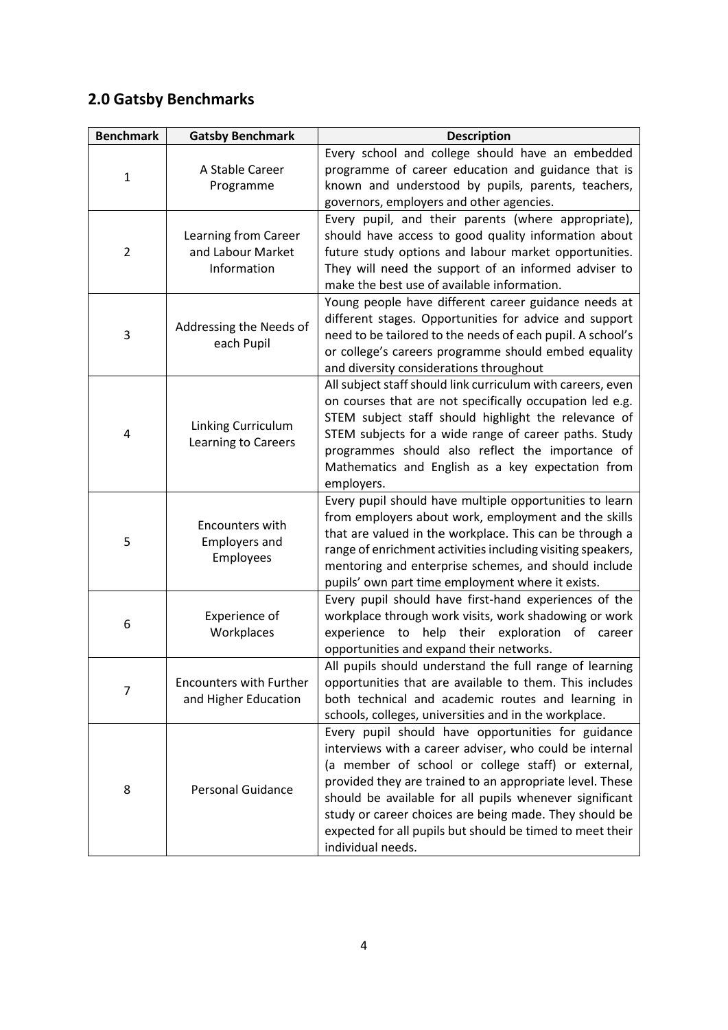# <span id="page-3-0"></span>**2.0 Gatsby Benchmarks**

| <b>Benchmark</b> | <b>Gatsby Benchmark</b>                                  | <b>Description</b>                                                                                                                                                                                                                                                                                                                                                                                                                     |
|------------------|----------------------------------------------------------|----------------------------------------------------------------------------------------------------------------------------------------------------------------------------------------------------------------------------------------------------------------------------------------------------------------------------------------------------------------------------------------------------------------------------------------|
| $\mathbf{1}$     | A Stable Career<br>Programme                             | Every school and college should have an embedded<br>programme of career education and guidance that is<br>known and understood by pupils, parents, teachers,<br>governors, employers and other agencies.                                                                                                                                                                                                                               |
| $\overline{2}$   | Learning from Career<br>and Labour Market<br>Information | Every pupil, and their parents (where appropriate),<br>should have access to good quality information about<br>future study options and labour market opportunities.<br>They will need the support of an informed adviser to<br>make the best use of available information.                                                                                                                                                            |
| 3                | Addressing the Needs of<br>each Pupil                    | Young people have different career guidance needs at<br>different stages. Opportunities for advice and support<br>need to be tailored to the needs of each pupil. A school's<br>or college's careers programme should embed equality<br>and diversity considerations throughout                                                                                                                                                        |
| 4                | Linking Curriculum<br>Learning to Careers                | All subject staff should link curriculum with careers, even<br>on courses that are not specifically occupation led e.g.<br>STEM subject staff should highlight the relevance of<br>STEM subjects for a wide range of career paths. Study<br>programmes should also reflect the importance of<br>Mathematics and English as a key expectation from<br>employers.                                                                        |
| 5                | Encounters with<br><b>Employers and</b><br>Employees     | Every pupil should have multiple opportunities to learn<br>from employers about work, employment and the skills<br>that are valued in the workplace. This can be through a<br>range of enrichment activities including visiting speakers,<br>mentoring and enterprise schemes, and should include<br>pupils' own part time employment where it exists.                                                                                 |
| 6                | Experience of<br>Workplaces                              | Every pupil should have first-hand experiences of the<br>workplace through work visits, work shadowing or work<br>experience to help their exploration<br>of career<br>opportunities and expand their networks.                                                                                                                                                                                                                        |
| 7                | <b>Encounters with Further</b><br>and Higher Education   | All pupils should understand the full range of learning<br>opportunities that are available to them. This includes<br>both technical and academic routes and learning in<br>schools, colleges, universities and in the workplace.                                                                                                                                                                                                      |
| 8                | <b>Personal Guidance</b>                                 | Every pupil should have opportunities for guidance<br>interviews with a career adviser, who could be internal<br>(a member of school or college staff) or external,<br>provided they are trained to an appropriate level. These<br>should be available for all pupils whenever significant<br>study or career choices are being made. They should be<br>expected for all pupils but should be timed to meet their<br>individual needs. |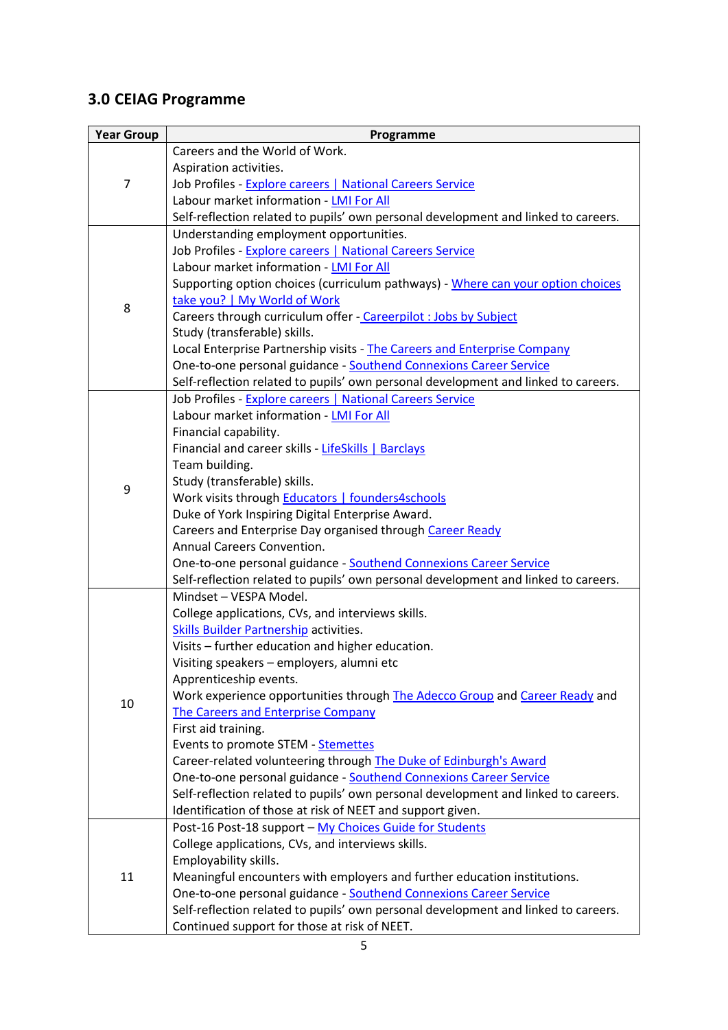# <span id="page-4-0"></span>**3.0 CEIAG Programme**

| <b>Year Group</b> | Programme                                                                                                                                        |  |  |
|-------------------|--------------------------------------------------------------------------------------------------------------------------------------------------|--|--|
|                   | Careers and the World of Work.                                                                                                                   |  |  |
|                   | Aspiration activities.                                                                                                                           |  |  |
| $\overline{7}$    | Job Profiles - Explore careers   National Careers Service                                                                                        |  |  |
|                   | Labour market information - LMI For All                                                                                                          |  |  |
|                   | Self-reflection related to pupils' own personal development and linked to careers.                                                               |  |  |
|                   | Understanding employment opportunities.                                                                                                          |  |  |
|                   | Job Profiles - Explore careers   National Careers Service                                                                                        |  |  |
| 8                 | Labour market information - LMI For All                                                                                                          |  |  |
|                   | Supporting option choices (curriculum pathways) - Where can your option choices                                                                  |  |  |
|                   | take you?   My World of Work                                                                                                                     |  |  |
|                   | Careers through curriculum offer - Careerpilot : Jobs by Subject                                                                                 |  |  |
|                   | Study (transferable) skills.                                                                                                                     |  |  |
|                   | Local Enterprise Partnership visits - The Careers and Enterprise Company                                                                         |  |  |
|                   | One-to-one personal guidance - Southend Connexions Career Service                                                                                |  |  |
|                   | Self-reflection related to pupils' own personal development and linked to careers.                                                               |  |  |
|                   | Job Profiles - Explore careers   National Careers Service                                                                                        |  |  |
|                   | Labour market information - LMI For All                                                                                                          |  |  |
| 9                 | Financial capability.                                                                                                                            |  |  |
|                   | Financial and career skills - LifeSkills   Barclays                                                                                              |  |  |
|                   | Team building.                                                                                                                                   |  |  |
|                   | Study (transferable) skills.                                                                                                                     |  |  |
|                   | Work visits through <b>Educators</b>   founders4schools                                                                                          |  |  |
|                   | Duke of York Inspiring Digital Enterprise Award.                                                                                                 |  |  |
|                   | Careers and Enterprise Day organised through Career Ready                                                                                        |  |  |
|                   | Annual Careers Convention.                                                                                                                       |  |  |
|                   | One-to-one personal guidance - Southend Connexions Career Service                                                                                |  |  |
|                   | Self-reflection related to pupils' own personal development and linked to careers.                                                               |  |  |
|                   | Mindset - VESPA Model.                                                                                                                           |  |  |
|                   | College applications, CVs, and interviews skills.                                                                                                |  |  |
|                   | <b>Skills Builder Partnership activities.</b>                                                                                                    |  |  |
|                   | Visits - further education and higher education.                                                                                                 |  |  |
|                   | Visiting speakers - employers, alumni etc                                                                                                        |  |  |
|                   | Apprenticeship events.                                                                                                                           |  |  |
| 10                | Work experience opportunities through The Adecco Group and Career Ready and                                                                      |  |  |
|                   | <b>The Careers and Enterprise Company</b>                                                                                                        |  |  |
|                   | First aid training.                                                                                                                              |  |  |
|                   | Events to promote STEM - Stemettes                                                                                                               |  |  |
|                   | Career-related volunteering through The Duke of Edinburgh's Award                                                                                |  |  |
|                   | One-to-one personal guidance - Southend Connexions Career Service                                                                                |  |  |
|                   | Self-reflection related to pupils' own personal development and linked to careers.<br>Identification of those at risk of NEET and support given. |  |  |
|                   | Post-16 Post-18 support - My Choices Guide for Students                                                                                          |  |  |
|                   | College applications, CVs, and interviews skills.                                                                                                |  |  |
|                   | Employability skills.                                                                                                                            |  |  |
| 11                | Meaningful encounters with employers and further education institutions.                                                                         |  |  |
|                   | One-to-one personal guidance - Southend Connexions Career Service                                                                                |  |  |
|                   | Self-reflection related to pupils' own personal development and linked to careers.                                                               |  |  |
|                   | Continued support for those at risk of NEET.                                                                                                     |  |  |
|                   |                                                                                                                                                  |  |  |